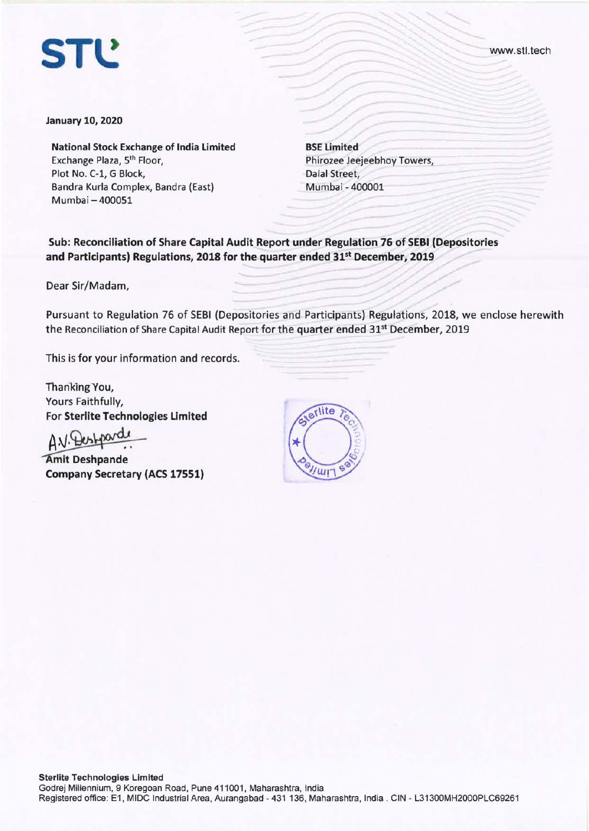

www.stl.tech

**January 10, 2020** 

**National Stock Exchange of India Limited**  Exchange Plaza, 5th Floor, Plot No. C-1, G Block, Bandra Kurla Complex, Bandra (East) Mumbai - 400051

**BSE Limited**  Phirozee Jeejeebhoy Towers, Dalal Street, Mumbai - 400001

**Sub: Reconciliation of Share Capital Audit Report under Regulation 76 of SEBI (Depositories and Participants) Regulations, 2018 for the quarter ended 31st December, 2019** 

Dear Sir/Madam,

Pursuant to Regulation 76 of SEBI (Depositories and Participants) Regulations, 2018, we enclose herewith the Reconciliation of Share Capital Audit Report for the quarter ended 31<sup>st</sup> December, 2019

This is for your information and records.

Thanking You, Yours Faithfully, For **Sterlite Technologies Limited** 

 $ANE$ 

**mit Deshpande Company Secretary (ACS 17551)** 

erlite  $\mathcal{C}$  $\vec{c}$ '  $y_{\mu}$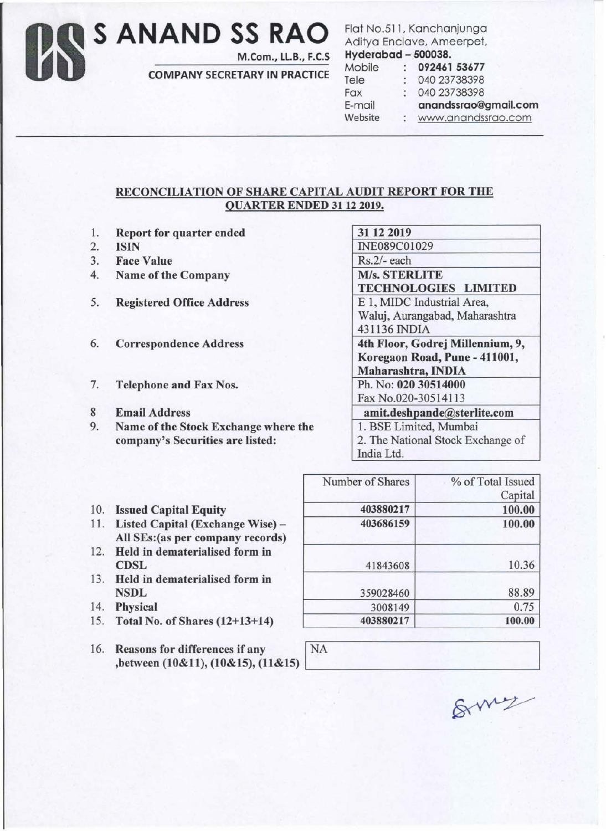## Os **S ANAND SS RAO**

M.Com., LL.B., F.C.S

COMPANY SECRETARY IN PRACTICE

Flat No.511, Kanchanjunga Aditya Enclave, Ameerpet, Hyderabad - 500038.

| $117$ and $1$ and at an |                      |
|-------------------------|----------------------|
| Mobile                  | 092461 53677         |
| Tele                    | 040 23738398         |
| Fax                     | 040 23738398         |
| E-mail                  | anandssrao@gmail.com |
| Website                 | www.anandssrao.com   |
|                         |                      |

## RECONCILIATION OF SHARE CAPITAL AUDIT REPORT FOR THE QUARTER ENDED 3112 2019.

- 1. Report for quarter ended
- 2. ISIN
- 3. Face Value
- 4. Name of the Company
- 5. Registered Office Address
- 6. Correspondence Address
- 7. Telephone and Fax Nos.
- 8 Email Address
- 9. Name of the Stock Exchange where the company's Securities are listed:

| 31 12 2019                        |
|-----------------------------------|
| INE089C01029                      |
| Rs.2/- each                       |
| <b>M/s. STERLITE</b>              |
| <b>TECHNOLOGIES LIMITED</b>       |
| E 1, MIDC Industrial Area,        |
| Waluj, Aurangabad, Maharashtra    |
| 431136 INDIA                      |
| 4th Floor, Godrej Millennium, 9,  |
| Koregaon Road, Pune - 411001,     |
| Maharashtra, INDIA                |
| Ph. No: 020 30514000              |
| Fax No.020-30514113               |
| amit.deshpande@sterlite.com       |
| 1. BSE Limited, Mumbai            |
| 2. The National Stock Exchange of |
|                                   |

| 403880217<br>403686159 | Number of Shares | % of Total Issued |
|------------------------|------------------|-------------------|
|                        |                  | Capital           |
|                        |                  | 100.00            |
|                        |                  | 100.00            |
| 41843608               |                  | 10.36             |
|                        | 359028460        | 88.89             |
|                        | 3008149          | 0.75              |

403880217 100.00

- 10. Issued Capital Equity
- 11. Listed Capital (Exchange Wise)- All SEs:(as per company records)
- 12. Held in dematerialised form in CDSL
- 13. Held in dematerialised form in **NSDL**
- 14. Physical
- 15. Total No. of Shares (12+13+14)
- 16. Reasons for differences if any

| Reasons for differences if any<br>,between (10&11), (10&15), (11&15) | NA |     |
|----------------------------------------------------------------------|----|-----|
|                                                                      |    | Gmy |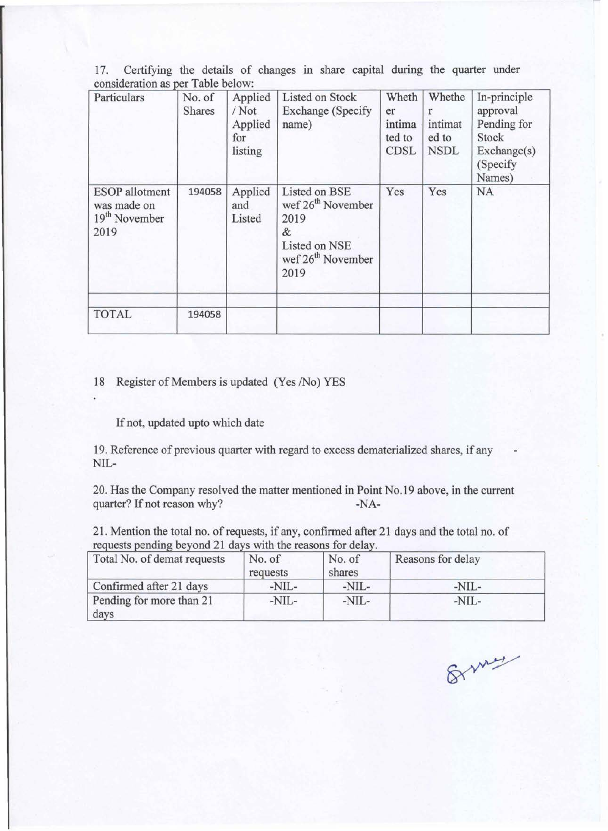| 17. Certifying the details of changes in share capital during the quarter under |  |  |  |  |  |  |
|---------------------------------------------------------------------------------|--|--|--|--|--|--|
| consideration as per Table below:                                               |  |  |  |  |  |  |

| Particulars                                                               | No. of<br><b>Shares</b> | Applied<br>/Not<br>Applied<br>for<br>listing | <b>Listed on Stock</b><br>Exchange (Specify<br>name)                                                                  | Wheth<br>er<br>intima<br>ted to<br><b>CDSL</b> | Whethe<br>r<br>intimat<br>ed to<br><b>NSDL</b> | In-principle<br>approval<br>Pending for<br>Stock<br>Exchange(s)<br>(Specify<br>Names) |
|---------------------------------------------------------------------------|-------------------------|----------------------------------------------|-----------------------------------------------------------------------------------------------------------------------|------------------------------------------------|------------------------------------------------|---------------------------------------------------------------------------------------|
| <b>ESOP</b> allotment<br>was made on<br>19 <sup>th</sup> November<br>2019 | 194058                  | Applied<br>and<br>Listed                     | Listed on BSE<br>wef 26 <sup>th</sup> November<br>2019<br>&<br>Listed on NSE<br>wef 26 <sup>th</sup> November<br>2019 | Yes                                            | Yes                                            | <b>NA</b>                                                                             |
| <b>TOTAL</b>                                                              | 194058                  |                                              |                                                                                                                       |                                                |                                                |                                                                                       |

## 18 Register of Members is updated (Yes /No) YES

If not, updated upto which date

19. Reference of previous quarter with regard to excess dematerialized shares, if any NIL-

20. Has the Company resolved the matter mentioned in Point No.19 above, in the current quarter? If not reason why? -NA-

21. Mention the total no. of requests, if any, confirmed after 21 days and the total no. of requests pending beyond 21 days with the reasons for delay.

| Total No. of demat requests      | No. of<br>requests | No. of<br>shares | Reasons for delay |  |
|----------------------------------|--------------------|------------------|-------------------|--|
| Confirmed after 21 days          | $-NIL-$            | $-NIL-$          | $-NIL-$           |  |
| Pending for more than 21<br>days | -NIL-              | -NIL-            | $-NIL-$           |  |

8 my